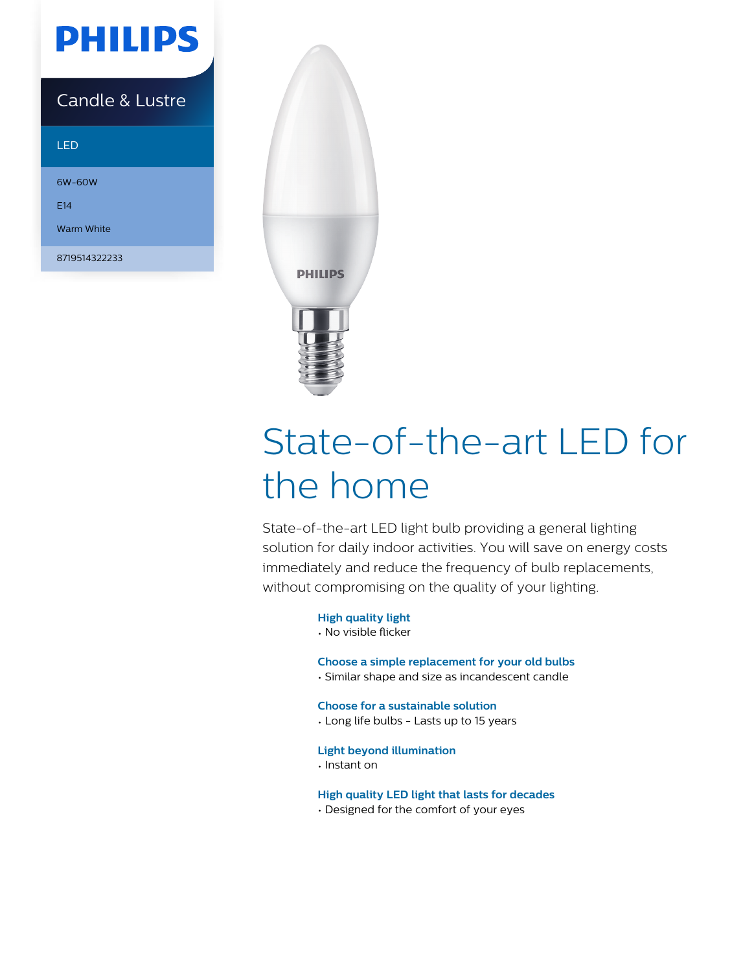

### Candle & Lustre

#### LED

6W-60W E14 Warm White

8719514322233



# State-of-the-art LED for the home

State-of-the-art LED light bulb providing a general lighting solution for daily indoor activities. You will save on energy costs immediately and reduce the frequency of bulb replacements, without compromising on the quality of your lighting.

#### **High quality light**

• No visible flicker

#### **Choose a simple replacement for your old bulbs**

• Similar shape and size as incandescent candle

**Choose for a sustainable solution**

• Long life bulbs - Lasts up to 15 years

#### **Light beyond illumination**

• Instant on

#### **High quality LED light that lasts for decades**

• Designed for the comfort of your eyes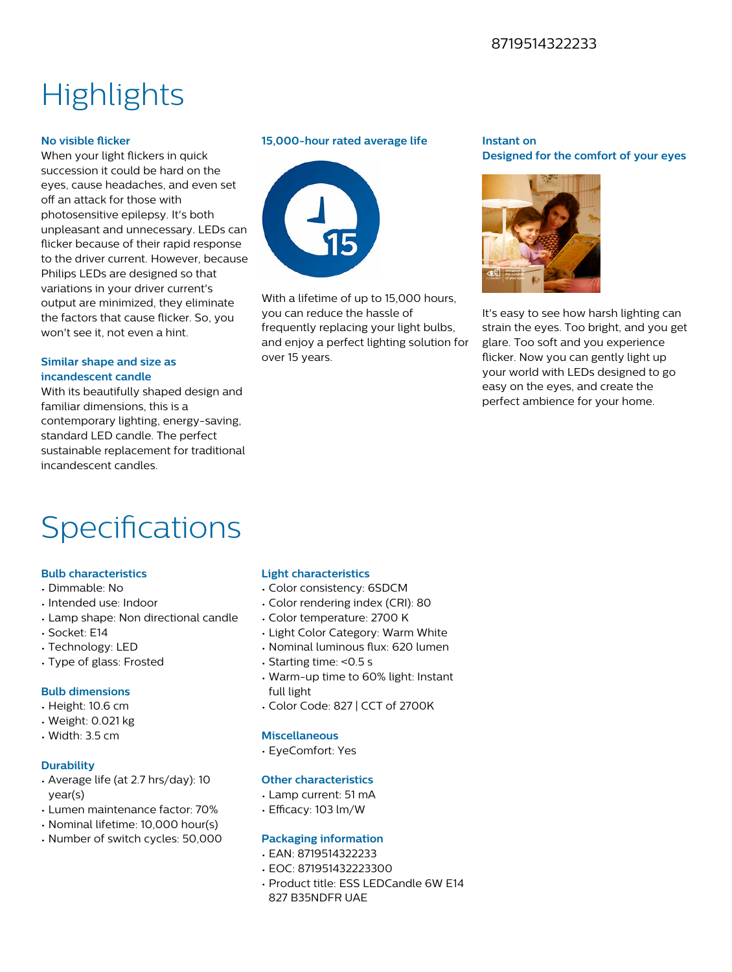#### 8719514322233

## **Highlights**

#### **No visible flicker**

When your light flickers in quick succession it could be hard on the eyes, cause headaches, and even set off an attack for those with photosensitive epilepsy. It's both unpleasant and unnecessary. LEDs can flicker because of their rapid response to the driver current. However, because Philips LEDs are designed so that variations in your driver current's output are minimized, they eliminate the factors that cause flicker. So, you won't see it, not even a hint.

#### **Similar shape and size as incandescent candle**

With its beautifully shaped design and familiar dimensions, this is a contemporary lighting, energy-saving, standard LED candle. The perfect sustainable replacement for traditional incandescent candles.

#### **15,000-hour rated average life**



With a lifetime of up to 15,000 hours. you can reduce the hassle of frequently replacing your light bulbs, and enjoy a perfect lighting solution for over 15 years.

#### **Instant on Designed for the comfort of your eyes**



It's easy to see how harsh lighting can strain the eyes. Too bright, and you get glare. Too soft and you experience flicker. Now you can gently light up your world with LEDs designed to go easy on the eyes, and create the perfect ambience for your home.

## Specifications

#### **Bulb characteristics**

- Dimmable: No
- Intended use: Indoor
- Lamp shape: Non directional candle
- Socket: E14
- Technology: LED
- Type of glass: Frosted

#### **Bulb dimensions**

- Height: 10.6 cm
- Weight: 0.021 kg
- Width: 3.5 cm

#### **Durability**

- Average life (at 2.7 hrs/day): 10 year(s)
- Lumen maintenance factor: 70%
- Nominal lifetime: 10,000 hour(s)
- Number of switch cycles: 50,000

#### **Light characteristics**

- Color consistency: 6SDCM
- Color rendering index (CRI): 80
- Color temperature: 2700 K
- Light Color Category: Warm White
- Nominal luminous flux: 620 lumen
- Starting time: <0.5 s
- Warm-up time to 60% light: Instant full light
- Color Code: 827 | CCT of 2700K

#### **Miscellaneous**

• EyeComfort: Yes

#### **Other characteristics**

- Lamp current: 51 mA
- $\cdot$  Efficacy: 103 lm/W

#### **Packaging information**

- EAN: 8719514322233
- EOC: 871951432223300
- Product title: ESS LEDCandle 6W E14
- 827 B35NDFR UAE